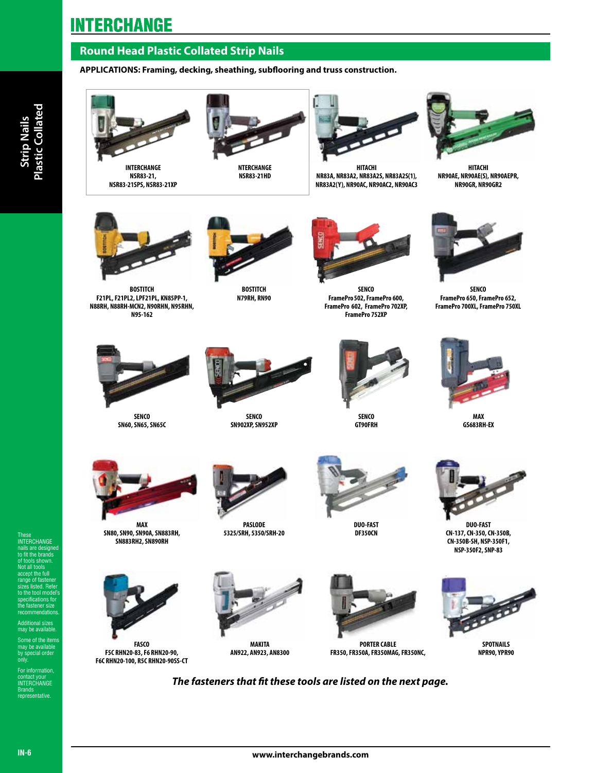# **INTERCHANGE**

## **Round Head Plastic Collated Strip Nails**

**APPLICATIONS: Framing, decking, sheathing, subflooring and truss construction.**



**INTERCHANGE NSR83-21, NSR83-21SPS, NSR83-21XP**



**NTERCHANGE NSR83-21HD** 



**HITACHI NR83A, NR83A2, NR83A2S, NR83A2S(1), NR83A2(Y), NR90AC, NR90AC2, NR90AC3**



**HITACHI NR90AE, NR90AE(S), NR90AEPR, NR90GR, NR90GR2**



**BOSTITCH F21PL, F21PL2, LPF21PL, KN85PP-1, N88RH, N88RH-MCN2, N90RHN, N95RHN, N95-162**



**BOSTITCH N79RH, RN90** 



**SENCO FramePro502, FramePro 600, FramePro 602, FramePro 702XP, FramePro 752XP**



**SENCO FramePro 650, FramePro 652, FramePro 700XL, FramePro 750XL**



**SENCO SN60, SN65, SN65C**



**SENCO SN902XP, SN952XP** 



**SENCO GT90FRH**



**MAX GS683RH-EX**



**MAX SN80, SN90, SN90A, SN883RH, SN883RH2, SN890RH** 



**FASCO F5C RHN20-83, F6 RHN20-90, F6C RHN20-100, R5C RHN20-90SS-CT**



**PASLODE 5325/SRH, 5350/SRH-20**

**MAKITA AN922, AN923, AN8300**



**DUO-FAST DF350CN** 

**PORTER CABLE FR350, FR350A, FR350MAG, FR350NC,** 



**DUO-FAST CN-137, CN-350, CN-350B, CN-350B-SH, NSP-350F1, NSP-350F2, SNP-83**



**SPOTNAILS NPR90, YPR90**

*The fasteners that fit these tools are listed on the next page.*

**www.interchangebrands.com**

These INTERCHANGE nails are designed to fit the brands  $\overline{\mathrm{a}}$  only shown. Not all tools accept the full range of fastener sizes listed. Refer to the tool model's ifications for he fastener size mmendations Additional sizes may be available. Some of the items may be available by special order only. For information, contact your<br>INTERCHANGE<br>Brands representative.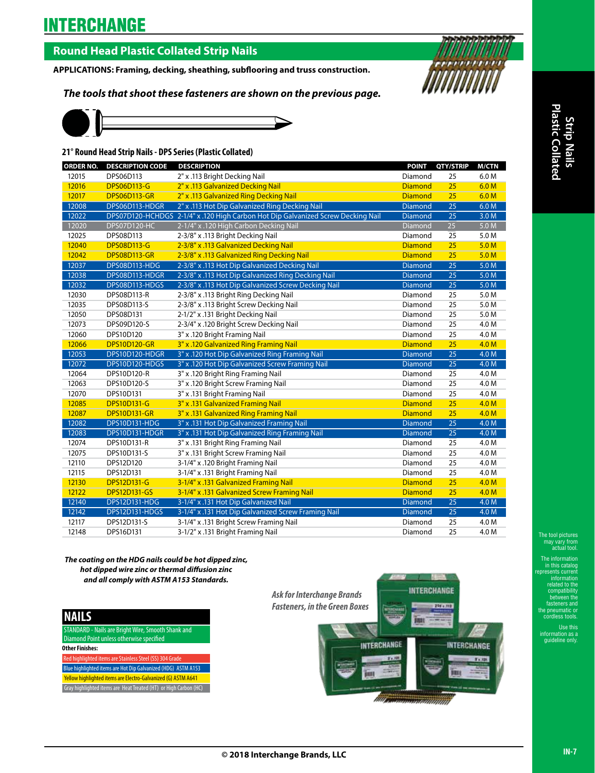# **INTERCHANGE**

## **Round Head Plastic Collated Strip Nails**

**APPLICATIONS: Framing, decking, sheathing, subflooring and truss construction.**

*The tools that shoot these fasteners are shown on the previous page.*



### **21° Round Head Strip Nails - DPS Series (Plastic Collated)**

| ORDER NO. | <b>DESCRIPTION CODE</b> | <b>DESCRIPTION</b>                                                               | <b>POINT</b>   | QTY/STRIP       | <b>M/CTN</b>     |
|-----------|-------------------------|----------------------------------------------------------------------------------|----------------|-----------------|------------------|
| 12015     | DPS06D113               | 2" x .113 Bright Decking Nail                                                    | Diamond        | 25              | 6.0 M            |
| 12016     | <b>DPS06D113-G</b>      | 2" x .113 Galvanized Decking Nail                                                | <b>Diamond</b> | 25              | 6.0 <sub>M</sub> |
| 12017     | <b>DPS06D113-GR</b>     | 2" x .113 Galvanized Ring Decking Nail                                           | <b>Diamond</b> | 25              | 6.0 <sub>M</sub> |
| 12008     | DPS06D113-HDGR          | 2" x .113 Hot Dip Galvanized Ring Decking Nail                                   | Diamond        | $\overline{25}$ | 6.0 M            |
| 12022     |                         | DPS07D120-HCHDGS 2-1/4" x .120 High Carbon Hot Dip Galvanized Screw Decking Nail | <b>Diamond</b> | $\overline{25}$ | 3.0 <sub>M</sub> |
| 12020     | <b>DPS07D120-HC</b>     | 2-1/4" x .120 High Carbon Decking Nail                                           | Diamond        | 25              | 5.0 M            |
| 12025     | DPS08D113               | 2-3/8" x .113 Bright Decking Nail                                                | Diamond        | 25              | 5.0 M            |
| 12040     | <b>DPS08D113-G</b>      | 2-3/8" x .113 Galvanized Decking Nail                                            | <b>Diamond</b> | 25              | 5.0 <sub>M</sub> |
| 12042     | <b>DPS08D113-GR</b>     | 2-3/8" x .113 Galvanized Ring Decking Nail                                       | <b>Diamond</b> | 25              | 5.0 <sub>M</sub> |
| 12037     | DPS08D113-HDG           | 2-3/8" x .113 Hot Dip Galvanized Decking Nail                                    | Diamond        | $\overline{25}$ | 5.0 M            |
| 12038     | DPS08D113-HDGR          | 2-3/8" x .113 Hot Dip Galvanized Ring Decking Nail                               | Diamond        | $\overline{25}$ | 5.0 M            |
| 12032     | DPS08D113-HDGS          | 2-3/8" x .113 Hot Dip Galvanized Screw Decking Nail                              | <b>Diamond</b> | $\overline{25}$ | 5.0 M            |
| 12030     | DPS08D113-R             | 2-3/8" x .113 Bright Ring Decking Nail                                           | Diamond        | 25              | 5.0 M            |
| 12035     | DPS08D113-S             | 2-3/8" x .113 Bright Screw Decking Nail                                          | Diamond        | 25              | 5.0 M            |
| 12050     | DPS08D131               | 2-1/2" x .131 Bright Decking Nail                                                | Diamond        | 25              | 5.0 M            |
| 12073     | DPS09D120-S             | 2-3/4" x .120 Bright Screw Decking Nail                                          | Diamond        | 25              | 4.0 M            |
| 12060     | DPS10D120               | 3" x .120 Bright Framing Nail                                                    | Diamond        | 25              | 4.0 M            |
| 12066     | <b>DPS10D120-GR</b>     | 3" x .120 Galvanized Ring Framing Nail                                           | <b>Diamond</b> | 25              | 4.0 M            |
| 12053     | DPS10D120-HDGR          | 3" x .120 Hot Dip Galvanized Ring Framing Nail                                   | Diamond        | $\overline{25}$ | 4.0 M            |
| 12072     | DPS10D120-HDGS          | 3" x .120 Hot Dip Galvanized Screw Framing Nail                                  | Diamond        | $\overline{25}$ | 4.0 M            |
| 12064     | DPS10D120-R             | 3" x .120 Bright Ring Framing Nail                                               | Diamond        | 25              | 4.0 M            |
| 12063     | DPS10D120-S             | 3" x .120 Bright Screw Framing Nail                                              | Diamond        | 25              | 4.0 M            |
| 12070     | DPS10D131               | 3" x .131 Bright Framing Nail                                                    | Diamond        | 25              | 4.0 M            |
| 12085     | <b>DPS10D131-G</b>      | 3" x .131 Galvanized Framing Nail                                                | <b>Diamond</b> | 25              | 4.0 <sub>M</sub> |
| 12087     | <b>DPS10D131-GR</b>     | 3" x .131 Galvanized Ring Framing Nail                                           | <b>Diamond</b> | 25              | 4.0 <sub>M</sub> |
| 12082     | <b>DPS10D131-HDG</b>    | 3" x .131 Hot Dip Galvanized Framing Nail                                        | <b>Diamond</b> | $\overline{25}$ | 4.0 M            |
| 12083     | DPS10D131-HDGR          | 3" x .131 Hot Dip Galvanized Ring Framing Nail                                   | <b>Diamond</b> | $\overline{25}$ | 4.0 M            |
| 12074     | DPS10D131-R             | 3" x .131 Bright Ring Framing Nail                                               | Diamond        | 25              | 4.0 M            |
| 12075     | DPS10D131-S             | 3" x .131 Bright Screw Framing Nail                                              | Diamond        | 25              | 4.0 M            |
| 12110     | DPS12D120               | 3-1/4" x .120 Bright Framing Nail                                                | Diamond        | 25              | 4.0 M            |
| 12115     | DPS12D131               | 3-1/4" x .131 Bright Framing Nail                                                | Diamond        | 25              | 4.0 M            |
| 12130     | <b>DPS12D131-G</b>      | 3-1/4" x .131 Galvanized Framing Nail                                            | <b>Diamond</b> | 25              | 4.0 <sub>M</sub> |
| 12122     | <b>DPS12D131-GS</b>     | 3-1/4" x .131 Galvanized Screw Framing Nail                                      | <b>Diamond</b> | 25              | 4.0 M            |
| 12140     | <b>DPS12D131-HDG</b>    | 3-1/4" x .131 Hot Dip Galvanized Nail                                            | <b>Diamond</b> | $\overline{25}$ | 4.0 M            |
| 12142     | DPS12D131-HDGS          | 3-1/4" x .131 Hot Dip Galvanized Screw Framing Nail                              | Diamond        | 25              | 4.0 M            |
| 12117     | DPS12D131-S             | 3-1/4" x .131 Bright Screw Framing Nail                                          | Diamond        | 25              | 4.0 M            |
| 12148     | DPS16D131               | 3-1/2" x .131 Bright Framing Nail                                                | Diamond        | 25              | 4.0 M            |

Plastic Collat **Plastic CollatedStrip Nails**

> The tool pictures may vary from actual tool.

*The coating on the HDG nails could be hot dipped zinc, hot dipped wire zinc or thermal diffusion zinc and all comply with ASTM A153 Standards.*

### **NAILS**

STANDARD - Nails are Bright Wire, Smooth Shank and Diamond Point unless otherwise specified **Other Finishes:**

ahlighted items are Stai Blue highlighted items are Hot Dip Galvanized (HDG) ASTM A153 Yellow highlighted items are Electro-Galvanized (G) ASTM A641 Gray highlighted items are Heat Treated (HT) or High Carbon (HC)



The information

in this catalog represents current information related to the compatibility between the fasteners and the pneumatic or cordless tools.

Use this information as a auideline